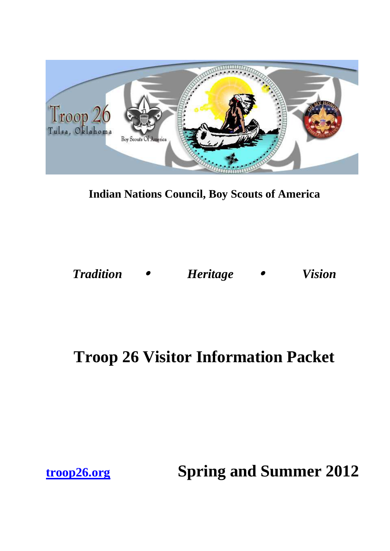

**Indian Nations Council, Boy Scouts of America** 

*Tradition* • *Heritage* • *Vision* 

# **Troop 26 Visitor Information Packet**

**troop26.org Spring and Summer 2012**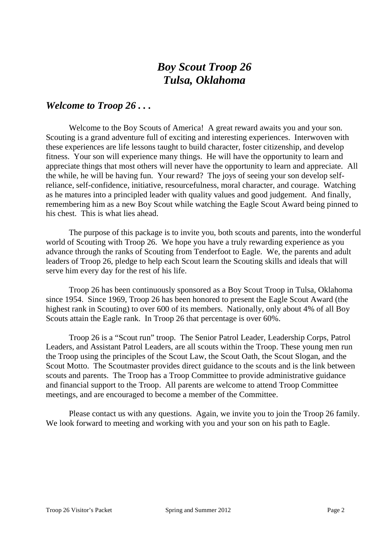### *Welcome to Troop 26 . . .*

Welcome to the Boy Scouts of America! A great reward awaits you and your son. Scouting is a grand adventure full of exciting and interesting experiences. Interwoven with these experiences are life lessons taught to build character, foster citizenship, and develop fitness. Your son will experience many things. He will have the opportunity to learn and appreciate things that most others will never have the opportunity to learn and appreciate. All the while, he will be having fun. Your reward? The joys of seeing your son develop selfreliance, self-confidence, initiative, resourcefulness, moral character, and courage. Watching as he matures into a principled leader with quality values and good judgement. And finally, remembering him as a new Boy Scout while watching the Eagle Scout Award being pinned to his chest. This is what lies ahead.

The purpose of this package is to invite you, both scouts and parents, into the wonderful world of Scouting with Troop 26. We hope you have a truly rewarding experience as you advance through the ranks of Scouting from Tenderfoot to Eagle. We, the parents and adult leaders of Troop 26, pledge to help each Scout learn the Scouting skills and ideals that will serve him every day for the rest of his life.

Troop 26 has been continuously sponsored as a Boy Scout Troop in Tulsa, Oklahoma since 1954. Since 1969, Troop 26 has been honored to present the Eagle Scout Award (the highest rank in Scouting) to over 600 of its members. Nationally, only about 4% of all Boy Scouts attain the Eagle rank. In Troop 26 that percentage is over 60%.

Troop 26 is a "Scout run" troop. The Senior Patrol Leader, Leadership Corps, Patrol Leaders, and Assistant Patrol Leaders, are all scouts within the Troop. These young men run the Troop using the principles of the Scout Law, the Scout Oath, the Scout Slogan, and the Scout Motto. The Scoutmaster provides direct guidance to the scouts and is the link between scouts and parents. The Troop has a Troop Committee to provide administrative guidance and financial support to the Troop. All parents are welcome to attend Troop Committee meetings, and are encouraged to become a member of the Committee.

Please contact us with any questions. Again, we invite you to join the Troop 26 family. We look forward to meeting and working with you and your son on his path to Eagle.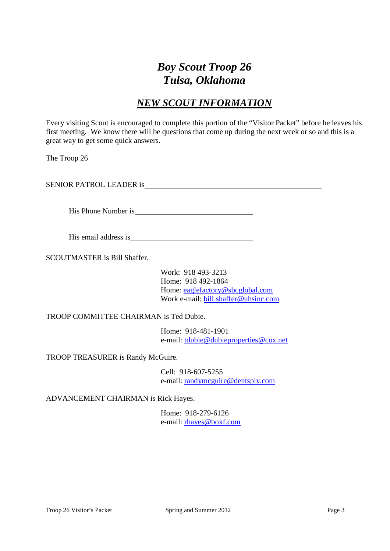### *NEW SCOUT INFORMATION*

Every visiting Scout is encouraged to complete this portion of the "Visitor Packet" before he leaves his first meeting. We know there will be questions that come up during the next week or so and this is a great way to get some quick answers.

The Troop 26

SENIOR PATROL LEADER is

His Phone Number is

His email address is

SCOUTMASTER is Bill Shaffer.

Work: 918 493-3213 Home: 918 492-1864 Home: eaglefactory@sbcglobal.com Work e-mail: bill.shaffer@uhsinc.com

TROOP COMMITTEE CHAIRMAN is Ted Dubie.

Home: 918-481-1901 e-mail: tdubie@dubieproperties@cox.net

TROOP TREASURER is Randy McGuire.

Cell: 918-607-5255 e-mail: randymcguire@dentsply.com

ADVANCEMENT CHAIRMAN is Rick Hayes.

Home: 918-279-6126 e-mail: rhayes@bokf.com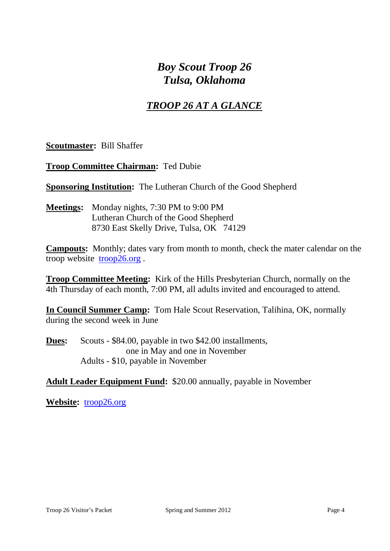### *TROOP 26 AT A GLANCE*

**Scoutmaster:** Bill Shaffer

**Troop Committee Chairman:** Ted Dubie

**Sponsoring Institution:** The Lutheran Church of the Good Shepherd

**Meetings:** Monday nights, 7:30 PM to 9:00 PM Lutheran Church of the Good Shepherd 8730 East Skelly Drive, Tulsa, OK 74129

**Campouts:** Monthly; dates vary from month to month, check the mater calendar on the troop website troop26.org .

**Troop Committee Meeting:** Kirk of the Hills Presbyterian Church, normally on the 4th Thursday of each month, 7:00 PM, all adults invited and encouraged to attend.

**In Council Summer Camp:** Tom Hale Scout Reservation, Talihina, OK, normally during the second week in June

**Dues:** Scouts - \$84.00, payable in two \$42.00 installments, one in May and one in November Adults - \$10, payable in November

### **Adult Leader Equipment Fund:** \$20.00 annually, payable in November

**Website:** troop26.org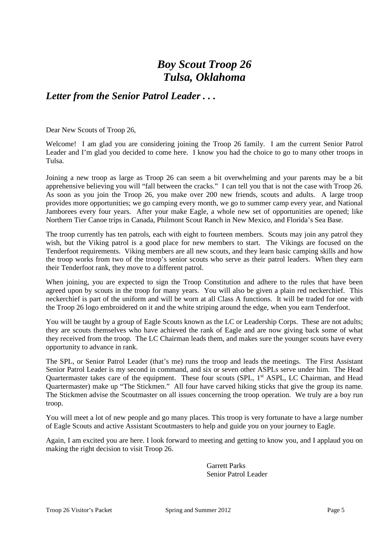### *Letter from the Senior Patrol Leader . . .*

Dear New Scouts of Troop 26,

Welcome! I am glad you are considering joining the Troop 26 family. I am the current Senior Patrol Leader and I'm glad you decided to come here. I know you had the choice to go to many other troops in Tulsa.

Joining a new troop as large as Troop 26 can seem a bit overwhelming and your parents may be a bit apprehensive believing you will "fall between the cracks." I can tell you that is not the case with Troop 26. As soon as you join the Troop 26, you make over 200 new friends, scouts and adults. A large troop provides more opportunities; we go camping every month, we go to summer camp every year, and National Jamborees every four years. After your make Eagle, a whole new set of opportunities are opened; like Northern Tier Canoe trips in Canada, Philmont Scout Ranch in New Mexico, and Florida's Sea Base.

The troop currently has ten patrols, each with eight to fourteen members. Scouts may join any patrol they wish, but the Viking patrol is a good place for new members to start. The Vikings are focused on the Tenderfoot requirements. Viking members are all new scouts, and they learn basic camping skills and how the troop works from two of the troop's senior scouts who serve as their patrol leaders. When they earn their Tenderfoot rank, they move to a different patrol.

When joining, you are expected to sign the Troop Constitution and adhere to the rules that have been agreed upon by scouts in the troop for many years. You will also be given a plain red neckerchief. This neckerchief is part of the uniform and will be worn at all Class A functions. It will be traded for one with the Troop 26 logo embroidered on it and the white striping around the edge, when you earn Tenderfoot.

You will be taught by a group of Eagle Scouts known as the LC or Leadership Corps. These are not adults; they are scouts themselves who have achieved the rank of Eagle and are now giving back some of what they received from the troop. The LC Chairman leads them, and makes sure the younger scouts have every opportunity to advance in rank.

The SPL, or Senior Patrol Leader (that's me) runs the troop and leads the meetings. The First Assistant Senior Patrol Leader is my second in command, and six or seven other ASPLs serve under him. The Head Quartermaster takes care of the equipment. These four scouts (SPL, 1<sup>st</sup> ASPL, LC Chairman, and Head Quartermaster) make up "The Stickmen." All four have carved hiking sticks that give the group its name. The Stickmen advise the Scoutmaster on all issues concerning the troop operation. We truly are a boy run troop.

You will meet a lot of new people and go many places. This troop is very fortunate to have a large number of Eagle Scouts and active Assistant Scoutmasters to help and guide you on your journey to Eagle.

Again, I am excited you are here. I look forward to meeting and getting to know you, and I applaud you on making the right decision to visit Troop 26.

> Garrett Parks Senior Patrol Leader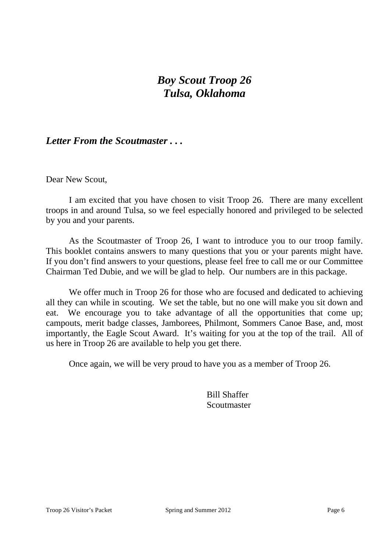### *Letter From the Scoutmaster . . .*

Dear New Scout,

 I am excited that you have chosen to visit Troop 26. There are many excellent troops in and around Tulsa, so we feel especially honored and privileged to be selected by you and your parents.

 As the Scoutmaster of Troop 26, I want to introduce you to our troop family. This booklet contains answers to many questions that you or your parents might have. If you don't find answers to your questions, please feel free to call me or our Committee Chairman Ted Dubie, and we will be glad to help. Our numbers are in this package.

 We offer much in Troop 26 for those who are focused and dedicated to achieving all they can while in scouting. We set the table, but no one will make you sit down and eat. We encourage you to take advantage of all the opportunities that come up; campouts, merit badge classes, Jamborees, Philmont, Sommers Canoe Base, and, most importantly, the Eagle Scout Award. It's waiting for you at the top of the trail. All of us here in Troop 26 are available to help you get there.

Once again, we will be very proud to have you as a member of Troop 26.

Bill Shaffer **Scoutmaster**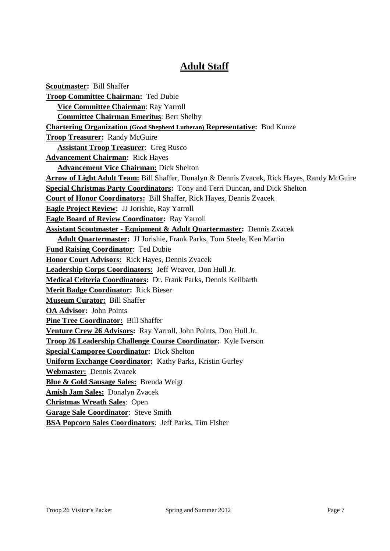### **Adult Staff**

**Scoutmaster:** Bill Shaffer **Troop Committee Chairman:** Ted Dubie  **Vice Committee Chairman**: Ray Yarroll  **Committee Chairman Emeritus**: Bert Shelby **Chartering Organization (Good Shepherd Lutheran) Representative:** Bud Kunze **Troop Treasurer:** Randy McGuire  **Assistant Troop Treasurer**: Greg Rusco **Advancement Chairman:** Rick Hayes  **Advancement Vice Chairman:** Dick Shelton **Arrow of Light Adult Team:** Bill Shaffer, Donalyn & Dennis Zvacek, Rick Hayes, Randy McGuire **Special Christmas Party Coordinators:** Tony and Terri Duncan, and Dick Shelton **Court of Honor Coordinators:** Bill Shaffer, Rick Hayes, Dennis Zvacek **Eagle Project Review:** JJ Jorishie, Ray Yarroll **Eagle Board of Review Coordinator:** Ray Yarroll **Assistant Scoutmaster - Equipment & Adult Quartermaster:** Dennis Zvacek  **Adult Quartermaster:** JJ Jorishie, Frank Parks, Tom Steele, Ken Martin **Fund Raising Coordinator**: Ted Dubie **Honor Court Advisors:** Rick Hayes, Dennis Zvacek **Leadership Corps Coordinators:** Jeff Weaver, Don Hull Jr. **Medical Criteria Coordinators:** Dr. Frank Parks, Dennis Keilbarth **Merit Badge Coordinator:** Rick Bieser **Museum Curator:** Bill Shaffer **OA Advisor:** John Points **Pine Tree Coordinator:** Bill Shaffer **Venture Crew 26 Advisors:** Ray Yarroll, John Points, Don Hull Jr. **Troop 26 Leadership Challenge Course Coordinator:** Kyle Iverson **Special Camporee Coordinator:** Dick Shelton **Uniform Exchange Coordinator:** Kathy Parks, Kristin Gurley **Webmaster:** Dennis Zvacek **Blue & Gold Sausage Sales:** Brenda Weigt **Amish Jam Sales:** Donalyn Zvacek **Christmas Wreath Sales**: Open **Garage Sale Coordinator**: Steve Smith **BSA Popcorn Sales Coordinators**: Jeff Parks, Tim Fisher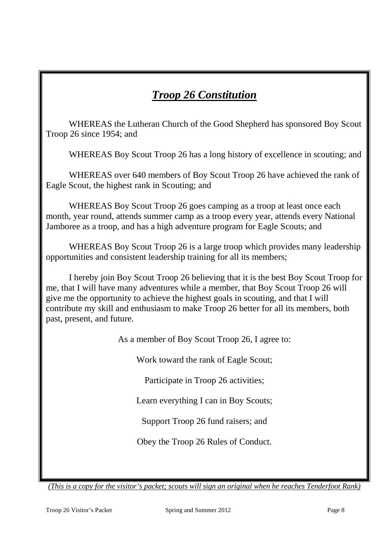## *Troop 26 Constitution*

WHEREAS the Lutheran Church of the Good Shepherd has sponsored Boy Scout Troop 26 since 1954; and

WHEREAS Boy Scout Troop 26 has a long history of excellence in scouting; and

WHEREAS over 640 members of Boy Scout Troop 26 have achieved the rank of Eagle Scout, the highest rank in Scouting; and

WHEREAS Boy Scout Troop 26 goes camping as a troop at least once each month, year round, attends summer camp as a troop every year, attends every National Jamboree as a troop, and has a high adventure program for Eagle Scouts; and

WHEREAS Boy Scout Troop 26 is a large troop which provides many leadership opportunities and consistent leadership training for all its members;

I hereby join Boy Scout Troop 26 believing that it is the best Boy Scout Troop for me, that I will have many adventures while a member, that Boy Scout Troop 26 will give me the opportunity to achieve the highest goals in scouting, and that I will contribute my skill and enthusiasm to make Troop 26 better for all its members, both past, present, and future.

As a member of Boy Scout Troop 26, I agree to:

Work toward the rank of Eagle Scout;

Participate in Troop 26 activities;

Learn everything I can in Boy Scouts;

Support Troop 26 fund raisers; and

Obey the Troop 26 Rules of Conduct.

*(This is a copy for the visitor's packet; scouts will sign an original when he reaches Tenderfoot Rank)*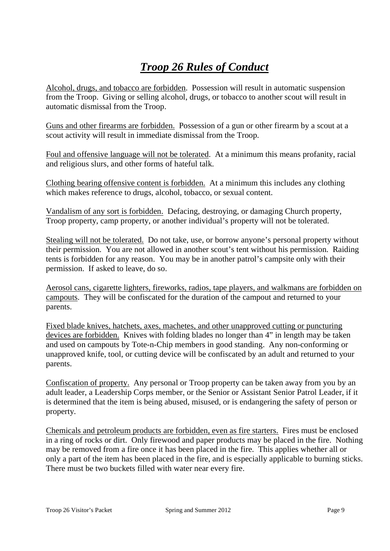# *Troop 26 Rules of Conduct*

Alcohol, drugs, and tobacco are forbidden. Possession will result in automatic suspension from the Troop. Giving or selling alcohol, drugs, or tobacco to another scout will result in automatic dismissal from the Troop.

Guns and other firearms are forbidden. Possession of a gun or other firearm by a scout at a scout activity will result in immediate dismissal from the Troop.

Foul and offensive language will not be tolerated. At a minimum this means profanity, racial and religious slurs, and other forms of hateful talk.

Clothing bearing offensive content is forbidden. At a minimum this includes any clothing which makes reference to drugs, alcohol, tobacco, or sexual content.

Vandalism of any sort is forbidden. Defacing, destroying, or damaging Church property, Troop property, camp property, or another individual's property will not be tolerated.

Stealing will not be tolerated. Do not take, use, or borrow anyone's personal property without their permission. You are not allowed in another scout's tent without his permission. Raiding tents is forbidden for any reason. You may be in another patrol's campsite only with their permission. If asked to leave, do so.

Aerosol cans, cigarette lighters, fireworks, radios, tape players, and walkmans are forbidden on campouts. They will be confiscated for the duration of the campout and returned to your parents.

Fixed blade knives, hatchets, axes, machetes, and other unapproved cutting or puncturing devices are forbidden. Knives with folding blades no longer than 4" in length may be taken and used on campouts by Tote-n-Chip members in good standing. Any non-conforming or unapproved knife, tool, or cutting device will be confiscated by an adult and returned to your parents.

Confiscation of property. Any personal or Troop property can be taken away from you by an adult leader, a Leadership Corps member, or the Senior or Assistant Senior Patrol Leader, if it is determined that the item is being abused, misused, or is endangering the safety of person or property.

Chemicals and petroleum products are forbidden, even as fire starters. Fires must be enclosed in a ring of rocks or dirt. Only firewood and paper products may be placed in the fire. Nothing may be removed from a fire once it has been placed in the fire. This applies whether all or only a part of the item has been placed in the fire, and is especially applicable to burning sticks. There must be two buckets filled with water near every fire.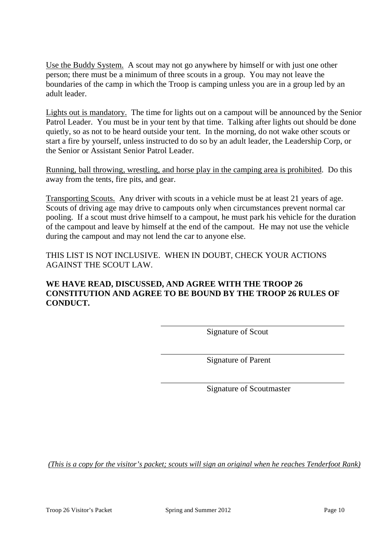Use the Buddy System. A scout may not go anywhere by himself or with just one other person; there must be a minimum of three scouts in a group. You may not leave the boundaries of the camp in which the Troop is camping unless you are in a group led by an adult leader.

Lights out is mandatory. The time for lights out on a campout will be announced by the Senior Patrol Leader. You must be in your tent by that time. Talking after lights out should be done quietly, so as not to be heard outside your tent. In the morning, do not wake other scouts or start a fire by yourself, unless instructed to do so by an adult leader, the Leadership Corp, or the Senior or Assistant Senior Patrol Leader.

Running, ball throwing, wrestling, and horse play in the camping area is prohibited. Do this away from the tents, fire pits, and gear.

Transporting Scouts. Any driver with scouts in a vehicle must be at least 21 years of age. Scouts of driving age may drive to campouts only when circumstances prevent normal car pooling. If a scout must drive himself to a campout, he must park his vehicle for the duration of the campout and leave by himself at the end of the campout. He may not use the vehicle during the campout and may not lend the car to anyone else.

THIS LIST IS NOT INCLUSIVE. WHEN IN DOUBT, CHECK YOUR ACTIONS AGAINST THE SCOUT LAW.

#### **WE HAVE READ, DISCUSSED, AND AGREE WITH THE TROOP 26 CONSTITUTION AND AGREE TO BE BOUND BY THE TROOP 26 RULES OF CONDUCT.**

Signature of Scout

Signature of Parent

Signature of Scoutmaster

*(This is a copy for the visitor's packet; scouts will sign an original when he reaches Tenderfoot Rank)*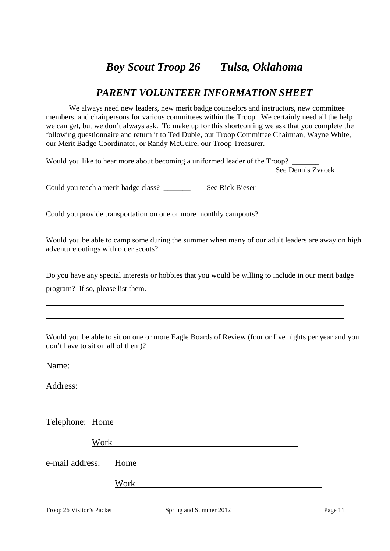### *PARENT VOLUNTEER INFORMATION SHEET*

We always need new leaders, new merit badge counselors and instructors, new committee members, and chairpersons for various committees within the Troop. We certainly need all the help we can get, but we don't always ask. To make up for this shortcoming we ask that you complete the following questionnaire and return it to Ted Dubie, our Troop Committee Chairman, Wayne White, our Merit Badge Coordinator, or Randy McGuire, our Troop Treasurer.

Would you like to hear more about becoming a uniformed leader of the Troop? See Dennis Zvacek

Could you teach a merit badge class? \_\_\_\_\_\_\_ See Rick Bieser

Could you provide transportation on one or more monthly campouts? \_\_\_\_\_\_\_

Would you be able to camp some during the summer when many of our adult leaders are away on high adventure outings with older scouts? \_\_\_\_\_\_\_\_

Do you have any special interests or hobbies that you would be willing to include in our merit badge program? If so, please list them.

Would you be able to sit on one or more Eagle Boards of Review (four or five nights per year and you don't have to sit on all of them)?

| Address: |                      |
|----------|----------------------|
|          | Telephone: Home      |
|          | Work                 |
|          | e-mail address: Home |
|          | Work                 |

 $\overline{a}$ 

 $\overline{a}$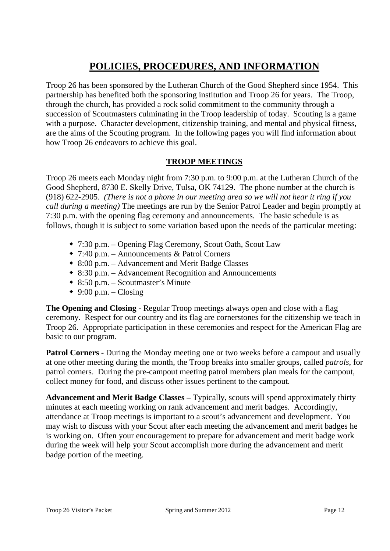### **POLICIES, PROCEDURES, AND INFORMATION**

Troop 26 has been sponsored by the Lutheran Church of the Good Shepherd since 1954. This partnership has benefited both the sponsoring institution and Troop 26 for years. The Troop, through the church, has provided a rock solid commitment to the community through a succession of Scoutmasters culminating in the Troop leadership of today. Scouting is a game with a purpose. Character development, citizenship training, and mental and physical fitness, are the aims of the Scouting program. In the following pages you will find information about how Troop 26 endeavors to achieve this goal.

#### **TROOP MEETINGS**

Troop 26 meets each Monday night from 7:30 p.m. to 9:00 p.m. at the Lutheran Church of the Good Shepherd, 8730 E. Skelly Drive, Tulsa, OK 74129. The phone number at the church is (918) 622-2905. *(There is not a phone in our meeting area so we will not hear it ring if you call during a meeting)* The meetings are run by the Senior Patrol Leader and begin promptly at 7:30 p.m. with the opening flag ceremony and announcements. The basic schedule is as follows, though it is subject to some variation based upon the needs of the particular meeting:

- 7:30 p.m. Opening Flag Ceremony, Scout Oath, Scout Law
- 7:40 p.m. Announcements & Patrol Corners
- 8:00 p.m. Advancement and Merit Badge Classes
- 8:30 p.m. Advancement Recognition and Announcements
- 8:50 p.m. Scoutmaster's Minute
- $\triangleq$  9:00 p.m. Closing

**The Opening and Closing -** Regular Troop meetings always open and close with a flag ceremony. Respect for our country and its flag are cornerstones for the citizenship we teach in Troop 26. Appropriate participation in these ceremonies and respect for the American Flag are basic to our program.

**Patrol Corners -** During the Monday meeting one or two weeks before a campout and usually at one other meeting during the month, the Troop breaks into smaller groups, called *patrols*, for patrol corners. During the pre-campout meeting patrol members plan meals for the campout, collect money for food, and discuss other issues pertinent to the campout.

**Advancement and Merit Badge Classes –** Typically, scouts will spend approximately thirty minutes at each meeting working on rank advancement and merit badges. Accordingly, attendance at Troop meetings is important to a scout's advancement and development. You may wish to discuss with your Scout after each meeting the advancement and merit badges he is working on. Often your encouragement to prepare for advancement and merit badge work during the week will help your Scout accomplish more during the advancement and merit badge portion of the meeting.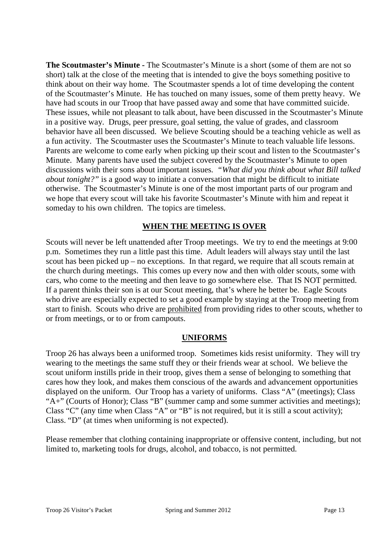**The Scoutmaster's Minute -** The Scoutmaster's Minute is a short (some of them are not so short) talk at the close of the meeting that is intended to give the boys something positive to think about on their way home. The Scoutmaster spends a lot of time developing the content of the Scoutmaster's Minute. He has touched on many issues, some of them pretty heavy. We have had scouts in our Troop that have passed away and some that have committed suicide. These issues, while not pleasant to talk about, have been discussed in the Scoutmaster's Minute in a positive way. Drugs, peer pressure, goal setting, the value of grades, and classroom behavior have all been discussed. We believe Scouting should be a teaching vehicle as well as a fun activity. The Scoutmaster uses the Scoutmaster's Minute to teach valuable life lessons. Parents are welcome to come early when picking up their scout and listen to the Scoutmaster's Minute. Many parents have used the subject covered by the Scoutmaster's Minute to open discussions with their sons about important issues. *"What did you think about what Bill talked about tonight?"* is a good way to initiate a conversation that might be difficult to initiate otherwise. The Scoutmaster's Minute is one of the most important parts of our program and we hope that every scout will take his favorite Scoutmaster's Minute with him and repeat it someday to his own children. The topics are timeless.

#### **WHEN THE MEETING IS OVER**

Scouts will never be left unattended after Troop meetings. We try to end the meetings at 9:00 p.m. Sometimes they run a little past this time. Adult leaders will always stay until the last scout has been picked up – no exceptions. In that regard, we require that all scouts remain at the church during meetings. This comes up every now and then with older scouts, some with cars, who come to the meeting and then leave to go somewhere else. That IS NOT permitted. If a parent thinks their son is at our Scout meeting, that's where he better be. Eagle Scouts who drive are especially expected to set a good example by staying at the Troop meeting from start to finish. Scouts who drive are prohibited from providing rides to other scouts, whether to or from meetings, or to or from campouts.

#### **UNIFORMS**

Troop 26 has always been a uniformed troop. Sometimes kids resist uniformity. They will try wearing to the meetings the same stuff they or their friends wear at school. We believe the scout uniform instills pride in their troop, gives them a sense of belonging to something that cares how they look, and makes them conscious of the awards and advancement opportunities displayed on the uniform. Our Troop has a variety of uniforms. Class "A" (meetings); Class "A+" (Courts of Honor); Class "B" (summer camp and some summer activities and meetings); Class "C" (any time when Class "A" or "B" is not required, but it is still a scout activity); Class. "D" (at times when uniforming is not expected).

Please remember that clothing containing inappropriate or offensive content, including, but not limited to, marketing tools for drugs, alcohol, and tobacco, is not permitted.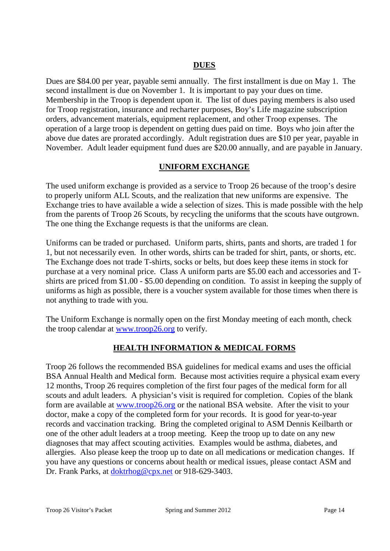#### **DUES**

Dues are \$84.00 per year, payable semi annually. The first installment is due on May 1. The second installment is due on November 1. It is important to pay your dues on time. Membership in the Troop is dependent upon it. The list of dues paying members is also used for Troop registration, insurance and recharter purposes, Boy's Life magazine subscription orders, advancement materials, equipment replacement, and other Troop expenses. The operation of a large troop is dependent on getting dues paid on time. Boys who join after the above due dates are prorated accordingly. Adult registration dues are \$10 per year, payable in November. Adult leader equipment fund dues are \$20.00 annually, and are payable in January.

#### **UNIFORM EXCHANGE**

The used uniform exchange is provided as a service to Troop 26 because of the troop's desire to properly uniform ALL Scouts, and the realization that new uniforms are expensive. The Exchange tries to have available a wide a selection of sizes. This is made possible with the help from the parents of Troop 26 Scouts, by recycling the uniforms that the scouts have outgrown. The one thing the Exchange requests is that the uniforms are clean.

Uniforms can be traded or purchased. Uniform parts, shirts, pants and shorts, are traded 1 for 1, but not necessarily even. In other words, shirts can be traded for shirt, pants, or shorts, etc. The Exchange does not trade T-shirts, socks or belts, but does keep these items in stock for purchase at a very nominal price. Class A uniform parts are \$5.00 each and accessories and Tshirts are priced from \$1.00 - \$5.00 depending on condition. To assist in keeping the supply of uniforms as high as possible, there is a voucher system available for those times when there is not anything to trade with you.

The Uniform Exchange is normally open on the first Monday meeting of each month, check the troop calendar at www.troop26.org to verify.

### **HEALTH INFORMATION & MEDICAL FORMS**

Troop 26 follows the recommended BSA guidelines for medical exams and uses the official BSA Annual Health and Medical form. Because most activities require a physical exam every 12 months, Troop 26 requires completion of the first four pages of the medical form for all scouts and adult leaders. A physician's visit is required for completion. Copies of the blank form are available at www.troop26.org or the national BSA website. After the visit to your doctor, make a copy of the completed form for your records. It is good for year-to-year records and vaccination tracking. Bring the completed original to ASM Dennis Keilbarth or one of the other adult leaders at a troop meeting. Keep the troop up to date on any new diagnoses that may affect scouting activities. Examples would be asthma, diabetes, and allergies. Also please keep the troop up to date on all medications or medication changes. If you have any questions or concerns about health or medical issues, please contact ASM and Dr. Frank Parks, at doktrhog@cpx.net or 918-629-3403.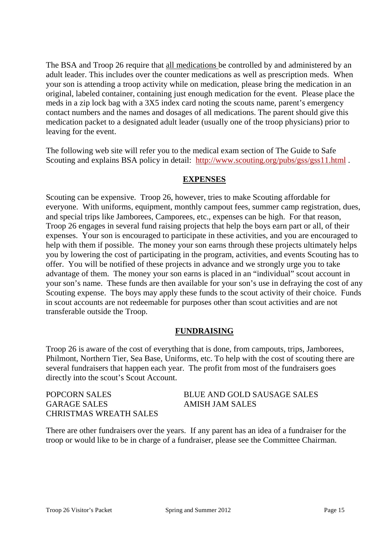The BSA and Troop 26 require that all medications be controlled by and administered by an adult leader. This includes over the counter medications as well as prescription meds. When your son is attending a troop activity while on medication, please bring the medication in an original, labeled container, containing just enough medication for the event. Please place the meds in a zip lock bag with a 3X5 index card noting the scouts name, parent's emergency contact numbers and the names and dosages of all medications. The parent should give this medication packet to a designated adult leader (usually one of the troop physicians) prior to leaving for the event.

The following web site will refer you to the medical exam section of The Guide to Safe Scouting and explains BSA policy in detail: http://www.scouting.org/pubs/gss/gss11.html .

#### **EXPENSES**

Scouting can be expensive. Troop 26, however, tries to make Scouting affordable for everyone. With uniforms, equipment, monthly campout fees, summer camp registration, dues, and special trips like Jamborees, Camporees, etc., expenses can be high. For that reason, Troop 26 engages in several fund raising projects that help the boys earn part or all, of their expenses. Your son is encouraged to participate in these activities, and you are encouraged to help with them if possible. The money your son earns through these projects ultimately helps you by lowering the cost of participating in the program, activities, and events Scouting has to offer. You will be notified of these projects in advance and we strongly urge you to take advantage of them. The money your son earns is placed in an "individual" scout account in your son's name. These funds are then available for your son's use in defraying the cost of any Scouting expense. The boys may apply these funds to the scout activity of their choice. Funds in scout accounts are not redeemable for purposes other than scout activities and are not transferable outside the Troop.

#### **FUNDRAISING**

Troop 26 is aware of the cost of everything that is done, from campouts, trips, Jamborees, Philmont, Northern Tier, Sea Base, Uniforms, etc. To help with the cost of scouting there are several fundraisers that happen each year. The profit from most of the fundraisers goes directly into the scout's Scout Account.

| POPCORN SALES          | BLUE AND GOLD SAUSAGE SALES |
|------------------------|-----------------------------|
| GARAGE SALES           | <b>AMISH JAM SALES</b>      |
| CHRISTMAS WREATH SALES |                             |

There are other fundraisers over the years. If any parent has an idea of a fundraiser for the troop or would like to be in charge of a fundraiser, please see the Committee Chairman.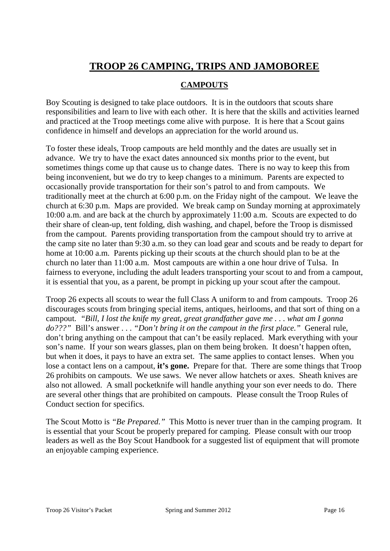### **TROOP 26 CAMPING, TRIPS AND JAMOBOREE**

#### **CAMPOUTS**

Boy Scouting is designed to take place outdoors. It is in the outdoors that scouts share responsibilities and learn to live with each other. It is here that the skills and activities learned and practiced at the Troop meetings come alive with purpose. It is here that a Scout gains confidence in himself and develops an appreciation for the world around us.

To foster these ideals, Troop campouts are held monthly and the dates are usually set in advance. We try to have the exact dates announced six months prior to the event, but sometimes things come up that cause us to change dates. There is no way to keep this from being inconvenient, but we do try to keep changes to a minimum. Parents are expected to occasionally provide transportation for their son's patrol to and from campouts. We traditionally meet at the church at 6:00 p.m. on the Friday night of the campout. We leave the church at 6:30 p.m. Maps are provided. We break camp on Sunday morning at approximately 10:00 a.m. and are back at the church by approximately 11:00 a.m. Scouts are expected to do their share of clean-up, tent folding, dish washing, and chapel, before the Troop is dismissed from the campout. Parents providing transportation from the campout should try to arrive at the camp site no later than 9:30 a.m. so they can load gear and scouts and be ready to depart for home at 10:00 a.m. Parents picking up their scouts at the church should plan to be at the church no later than 11:00 a.m. Most campouts are within a one hour drive of Tulsa. In fairness to everyone, including the adult leaders transporting your scout to and from a campout, it is essential that you, as a parent, be prompt in picking up your scout after the campout.

Troop 26 expects all scouts to wear the full Class A uniform to and from campouts. Troop 26 discourages scouts from bringing special items, antiques, heirlooms, and that sort of thing on a campout. *"Bill, I lost the knife my great, great grandfather gave me . . . what am I gonna do???"* Bill's answer . . . *"Don't bring it on the campout in the first place."* General rule, don't bring anything on the campout that can't be easily replaced. Mark everything with your son's name. If your son wears glasses, plan on them being broken. It doesn't happen often, but when it does, it pays to have an extra set. The same applies to contact lenses. When you lose a contact lens on a campout, **it's gone.** Prepare for that. There are some things that Troop 26 prohibits on campouts. We use saws. We never allow hatchets or axes. Sheath knives are also not allowed. A small pocketknife will handle anything your son ever needs to do. There are several other things that are prohibited on campouts. Please consult the Troop Rules of Conduct section for specifics.

The Scout Motto is *"Be Prepared."* This Motto is never truer than in the camping program. It is essential that your Scout be properly prepared for camping. Please consult with our troop leaders as well as the Boy Scout Handbook for a suggested list of equipment that will promote an enjoyable camping experience.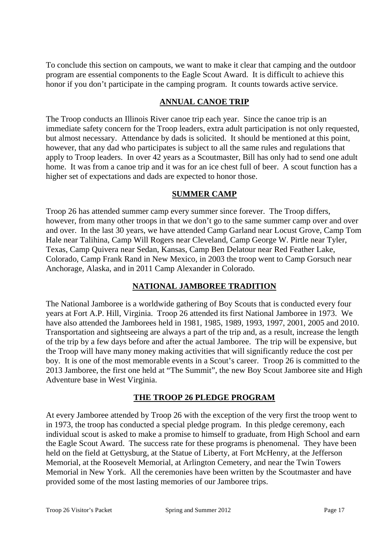To conclude this section on campouts, we want to make it clear that camping and the outdoor program are essential components to the Eagle Scout Award. It is difficult to achieve this honor if you don't participate in the camping program. It counts towards active service.

#### **ANNUAL CANOE TRIP**

The Troop conducts an Illinois River canoe trip each year. Since the canoe trip is an immediate safety concern for the Troop leaders, extra adult participation is not only requested, but almost necessary. Attendance by dads is solicited. It should be mentioned at this point, however, that any dad who participates is subject to all the same rules and regulations that apply to Troop leaders. In over 42 years as a Scoutmaster, Bill has only had to send one adult home. It was from a canoe trip and it was for an ice chest full of beer. A scout function has a higher set of expectations and dads are expected to honor those.

#### **SUMMER CAMP**

Troop 26 has attended summer camp every summer since forever. The Troop differs, however, from many other troops in that we don't go to the same summer camp over and over and over. In the last 30 years, we have attended Camp Garland near Locust Grove, Camp Tom Hale near Talihina, Camp Will Rogers near Cleveland, Camp George W. Pirtle near Tyler, Texas, Camp Quivera near Sedan, Kansas, Camp Ben Delatour near Red Feather Lake, Colorado, Camp Frank Rand in New Mexico, in 2003 the troop went to Camp Gorsuch near Anchorage, Alaska, and in 2011 Camp Alexander in Colorado.

### **NATIONAL JAMBOREE TRADITION**

The National Jamboree is a worldwide gathering of Boy Scouts that is conducted every four years at Fort A.P. Hill, Virginia. Troop 26 attended its first National Jamboree in 1973. We have also attended the Jamborees held in 1981, 1985, 1989, 1993, 1997, 2001, 2005 and 2010. Transportation and sightseeing are always a part of the trip and, as a result, increase the length of the trip by a few days before and after the actual Jamboree. The trip will be expensive, but the Troop will have many money making activities that will significantly reduce the cost per boy. It is one of the most memorable events in a Scout's career. Troop 26 is committed to the 2013 Jamboree, the first one held at "The Summit", the new Boy Scout Jamboree site and High Adventure base in West Virginia.

#### **THE TROOP 26 PLEDGE PROGRAM**

At every Jamboree attended by Troop 26 with the exception of the very first the troop went to in 1973, the troop has conducted a special pledge program. In this pledge ceremony, each individual scout is asked to make a promise to himself to graduate, from High School and earn the Eagle Scout Award. The success rate for these programs is phenomenal. They have been held on the field at Gettysburg, at the Statue of Liberty, at Fort McHenry, at the Jefferson Memorial, at the Roosevelt Memorial, at Arlington Cemetery, and near the Twin Towers Memorial in New York. All the ceremonies have been written by the Scoutmaster and have provided some of the most lasting memories of our Jamboree trips.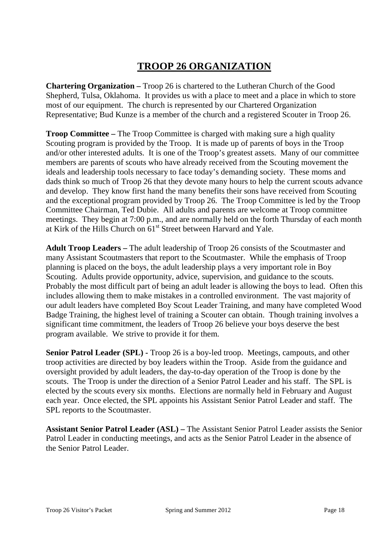### **TROOP 26 ORGANIZATION**

**Chartering Organization –** Troop 26 is chartered to the Lutheran Church of the Good Shepherd, Tulsa, Oklahoma. It provides us with a place to meet and a place in which to store most of our equipment. The church is represented by our Chartered Organization Representative; Bud Kunze is a member of the church and a registered Scouter in Troop 26.

**Troop Committee –** The Troop Committee is charged with making sure a high quality Scouting program is provided by the Troop. It is made up of parents of boys in the Troop and/or other interested adults. It is one of the Troop's greatest assets. Many of our committee members are parents of scouts who have already received from the Scouting movement the ideals and leadership tools necessary to face today's demanding society. These moms and dads think so much of Troop 26 that they devote many hours to help the current scouts advance and develop. They know first hand the many benefits their sons have received from Scouting and the exceptional program provided by Troop 26. The Troop Committee is led by the Troop Committee Chairman, Ted Dubie. All adults and parents are welcome at Troop committee meetings. They begin at 7:00 p.m., and are normally held on the forth Thursday of each month at Kirk of the Hills Church on 61<sup>st</sup> Street between Harvard and Yale.

**Adult Troop Leaders –** The adult leadership of Troop 26 consists of the Scoutmaster and many Assistant Scoutmasters that report to the Scoutmaster. While the emphasis of Troop planning is placed on the boys, the adult leadership plays a very important role in Boy Scouting. Adults provide opportunity, advice, supervision, and guidance to the scouts. Probably the most difficult part of being an adult leader is allowing the boys to lead. Often this includes allowing them to make mistakes in a controlled environment. The vast majority of our adult leaders have completed Boy Scout Leader Training, and many have completed Wood Badge Training, the highest level of training a Scouter can obtain. Though training involves a significant time commitment, the leaders of Troop 26 believe your boys deserve the best program available. We strive to provide it for them.

**Senior Patrol Leader (SPL) -** Troop 26 is a boy-led troop. Meetings, campouts, and other troop activities are directed by boy leaders within the Troop. Aside from the guidance and oversight provided by adult leaders, the day-to-day operation of the Troop is done by the scouts. The Troop is under the direction of a Senior Patrol Leader and his staff. The SPL is elected by the scouts every six months. Elections are normally held in February and August each year. Once elected, the SPL appoints his Assistant Senior Patrol Leader and staff. The SPL reports to the Scoutmaster.

**Assistant Senior Patrol Leader (ASL) –** The Assistant Senior Patrol Leader assists the Senior Patrol Leader in conducting meetings, and acts as the Senior Patrol Leader in the absence of the Senior Patrol Leader.